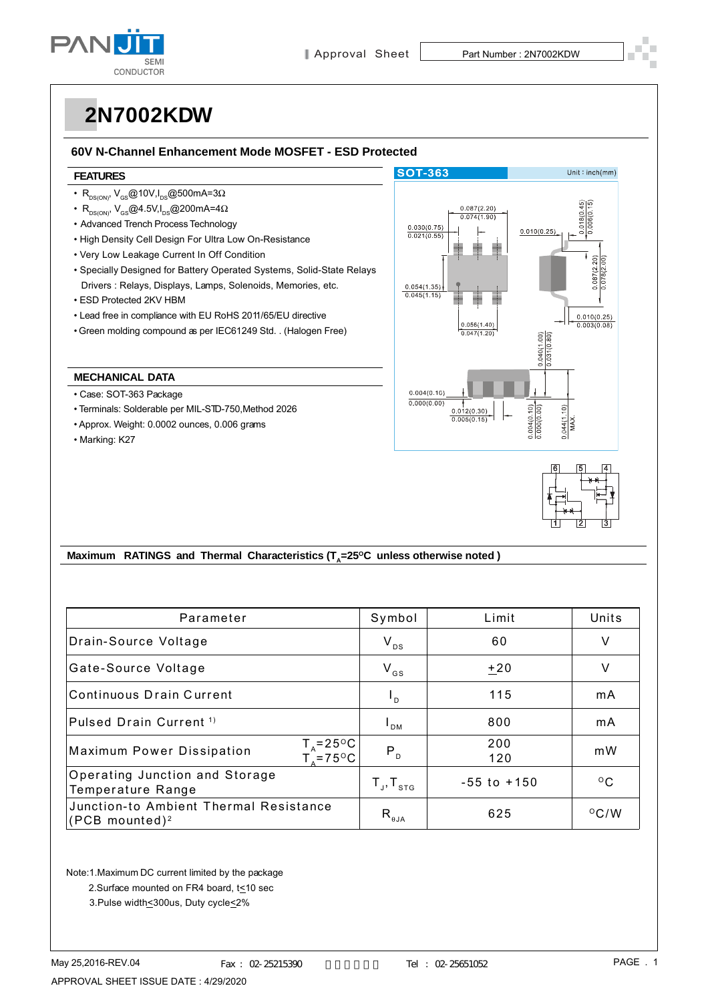

### **60V N-Channel Enhancement Mode MOSFET - ESD Protected**

#### **FEATURES**

- $R_{DS(ON)}$ , V<sub>GS</sub>@10V,I<sub>DS</sub>@500mA=3 $\Omega$
- R<sub>DS(ON)</sub>, V<sub>GS</sub>@4.5V,I<sub>DS</sub>@200mA=4 $\Omega$
- Advanced Trench Process Technology
- High Density Cell Design For Ultra Low On-Resistance
- Very Low Leakage Current In Off Condition
- Specially Designed for Battery Operated Systems, Solid-State Relays Drivers : Relays, Displays, Lamps, Solenoids, Memories, etc.
- ESD Protected 2KV HBM
- Lead free in compliance with EU RoHS 2011/65/EU directive
- Green molding compound as per IEC61249 Std. . (Halogen Free)

#### **MECHANICAL DATA**

- Case: SOT-363 Package
- Terminals: Solderable per MIL-STD-750,Method 2026
- Approx. Weight: 0.0002 ounces, 0.006 grams
- Marking: K27





### Maximum RATINGS and Thermal Characteristics (T<sub>a</sub>=25°C unless otherwise noted)

| Parameter                                                                  | Symbol                      | Limit           | Units          |
|----------------------------------------------------------------------------|-----------------------------|-----------------|----------------|
| Drain-Source Voltage                                                       | $V_{DS}$                    | 60              | ٧              |
| Gate-Source Voltage                                                        | $V_{GS}$                    | $+20$           | V              |
| Continuous Drain Current                                                   | $L_{\rm D}$                 | 115             | mA             |
| Pulsed Drain Current <sup>1)</sup>                                         | <sup>I</sup> DM             | 800             | mA             |
| $T_A = 25^{\circ}C_1$<br><b>Maximum Power Dissipation</b><br>$T_{2}$ =75°C | P <sub>D</sub>              | 200<br>120      | m <sub>W</sub> |
| Operating Junction and Storage<br>Temperature Range                        | $T_{\rm d}$ , $T_{\rm STG}$ | $-55$ to $+150$ | $^{\circ}$ C   |
| Junction-to Ambient Thermal Resistance<br>$ $ (PCB mounted) <sup>2</sup>   | $R_{\theta JA}$             | 625             | $^{\circ}$ C/W |

Note:1.Maximum DC current limited by the package

2.Surface mounted on FR4 board, t<10 sec

3.Pulse width<300us, Duty cycle<2%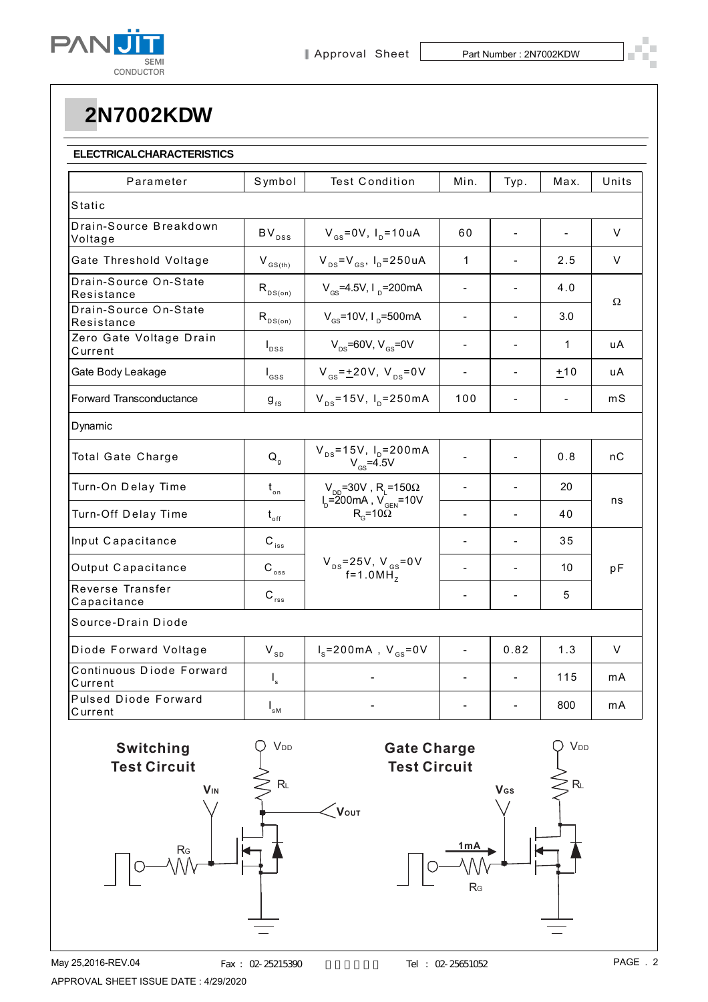

### **ELECTRICAL CHARACTERISTICS**

| Parameter                              | Symbol                         | <b>Test Condition</b>                                                                                        | Min.                     | Typ. | Max.           | Units  |  |
|----------------------------------------|--------------------------------|--------------------------------------------------------------------------------------------------------------|--------------------------|------|----------------|--------|--|
| Static                                 |                                |                                                                                                              |                          |      |                |        |  |
| Drain-Source Breakdown<br>Voltage      | $BV_{DSS}$                     | $V_{gs} = 0V$ , $I_p = 10uA$                                                                                 | 60                       |      |                | V      |  |
| Gate Threshold Voltage                 | $V_{GS(th)}$                   | $V_{DS} = V_{GS}$ , $I_{D} = 250 uA$                                                                         | $\mathbf{1}$             |      | 2.5            | V      |  |
| Drain-Source On-State<br>Resistance    | $R_{DS(on)}$                   | $V_{\text{cs}}$ =4.5V, I <sub>n</sub> =200mA                                                                 | $\overline{\phantom{a}}$ |      | 4.0            |        |  |
| Drain-Source On-State<br>Resistance    | $R_{DS(on)}$                   | $V_{\text{gs}}$ =10V, I <sub>p</sub> =500mA                                                                  | $\blacksquare$           |      | 3.0            | Ω      |  |
| Zero Gate Voltage Drain<br>Current     | $I_{DSS}$                      | $V_{\text{ns}}$ =60V, V <sub>cs</sub> =0V                                                                    | $\blacksquare$           |      | 1              | uA     |  |
| Gate Body Leakage                      | $I_{\rm dss}$                  | $V_{gs} = \pm 20V$ , $V_{ps} = 0V$                                                                           | $\overline{\phantom{a}}$ |      | ±10            | uА     |  |
| Forward Transconductance               | $9_{fs}$                       | $V_{DS} = 15V$ , $I_D = 250mA$                                                                               | 100                      |      | $\blacksquare$ | mS     |  |
| Dynamic                                |                                |                                                                                                              |                          |      |                |        |  |
| Total Gate Charge                      | $Q_{\rm q}$                    | $V_{DS} = 15V$ , $I_D = 200mA$<br>$V_{GS} = 4.5V$                                                            |                          |      | 0.8            | nС     |  |
| Turn-On Delay Time                     | $t_{\circ n}$                  | $V_{_{DD}}$ =30V , R <sub>L</sub> =150Ω<br>I <sub>D</sub> =200mA , V <sub>GEN</sub> =10V<br>$R_c = 10\Omega$ |                          |      | 20             |        |  |
| Turn-Off Delay Time                    | $t_{\rm off}$                  |                                                                                                              | $\overline{a}$           |      | 40             | ns     |  |
| Input Capacitance                      | $C_{\text{iss}}$               | $V_{DS} = 25V, V_{GS} = 0V$<br>f=1.0MH <sub>z</sub>                                                          |                          |      | 35             |        |  |
| Output Capacitance                     | $\mathsf{C}_{_{\mathrm{oss}}}$ |                                                                                                              | $\overline{a}$           |      | 10             | pF     |  |
| Reverse Transfer<br>Capacitance        | $\mathbf{C}_{\rm rss}$         |                                                                                                              | $\blacksquare$           |      | 5              |        |  |
| Source-Drain Diode                     |                                |                                                                                                              |                          |      |                |        |  |
| Diode Forward Voltage                  | $V_{SD}$                       | $I_s = 200 \text{ mA}$ , $V_{gs} = 0 \text{ V}$                                                              |                          | 0.82 | 1.3            | $\vee$ |  |
| Continuous Diode Forward<br>Current    | $\mathsf{I}_\mathsf{s}$        |                                                                                                              |                          |      | 115            | mA     |  |
| <b>Pulsed Diode Forward</b><br>Current | $I_{\rm sM}$                   |                                                                                                              |                          |      | 800            | mA     |  |



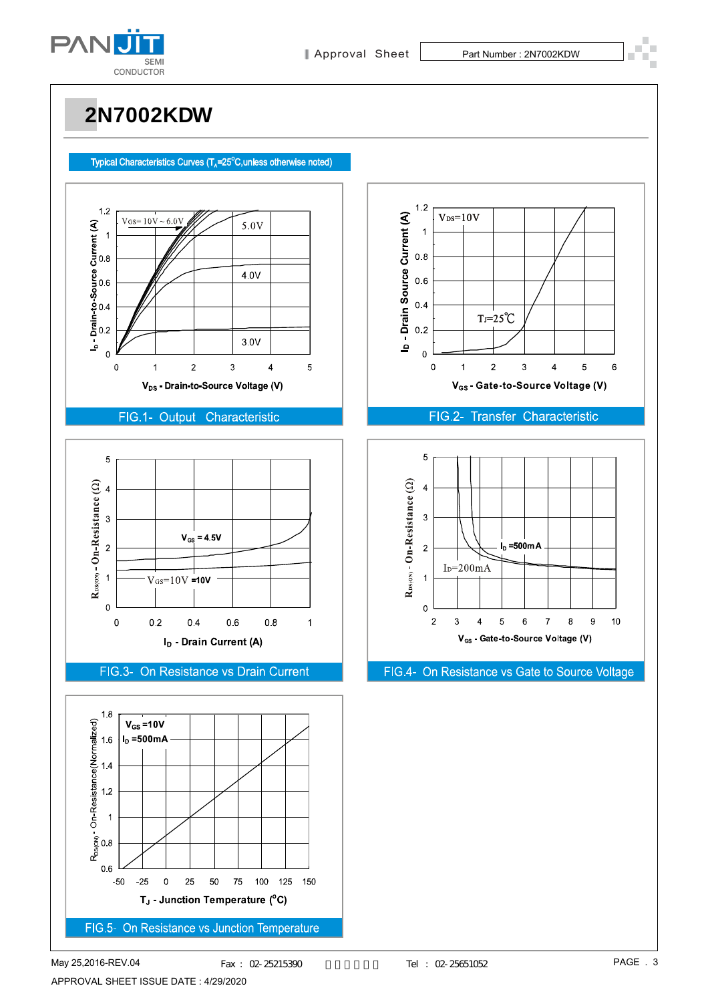

### Typical Characteristics Curves  $(T_A=25^\circ C,$ unless otherwise noted)



### FIG.1- Output Characteristic



FIG.3- On Resistance vs Drain Current





### FIG.2- Transfer Characteristic



FIG.4- On Resistance vs Gate to Source Voltage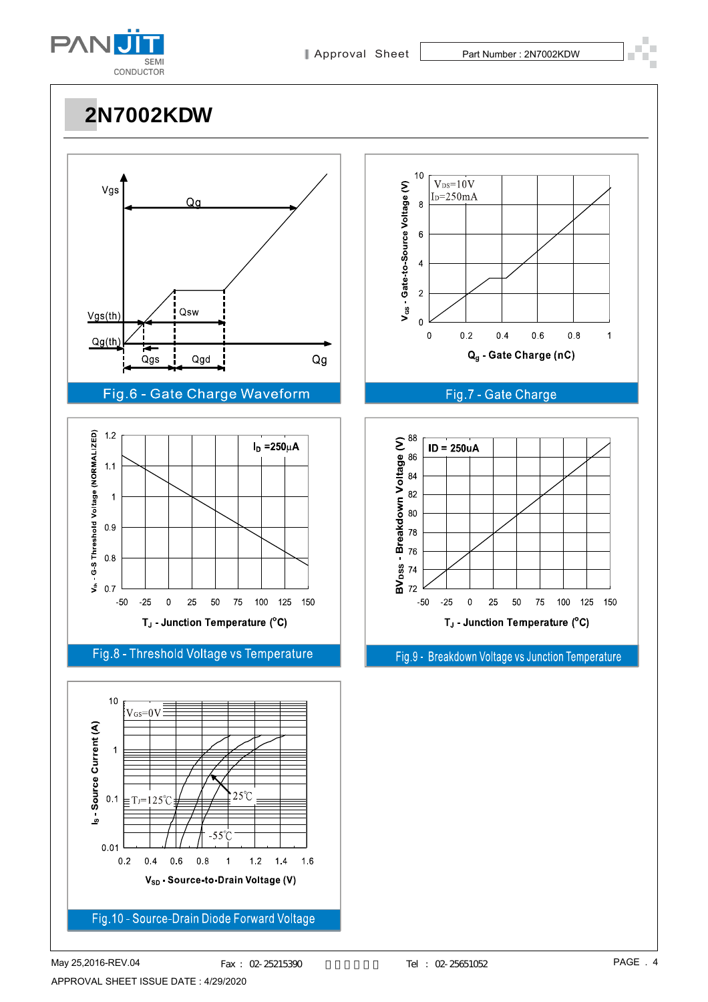



ś  $0.7$  $-50$  $-25$  $\mathbf 0$ 25 50 75 100 125 150 T<sub>J</sub> - Junction Temperature (°C)

Fig.8 - Threshold Voltage vs Temperature



 $10$  $V_{DS}=10V$ V<sub>GS</sub> - Gate-to-Source Voltage (V)  $I<sub>D</sub>=250mA$  $\overline{8}$  $\boldsymbol{6}$  $\overline{\mathbf{4}}$  $\overline{2}$  $\mathbf{0}$  $0<sub>2</sub>$  $0.4$  $06$  $0.8$  $\overline{0}$  $\overline{1}$ Q<sub>g</sub> - Gate Charge (nC)





Fig.9 - Breakdown Voltage vs Junction Temperature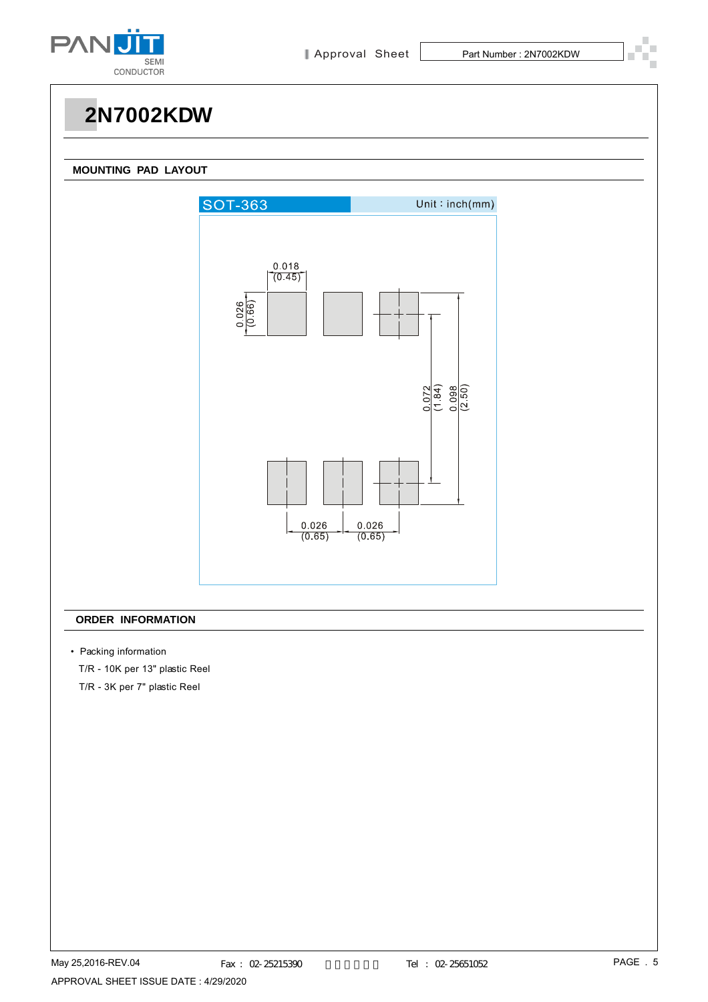

#### **MOUNTING PAD LAYOUT**



### **ORDER INFORMATION**

- Packing information
	- T/R 10K per 13" plastic Reel

T/R - 3K per 7" plastic Reel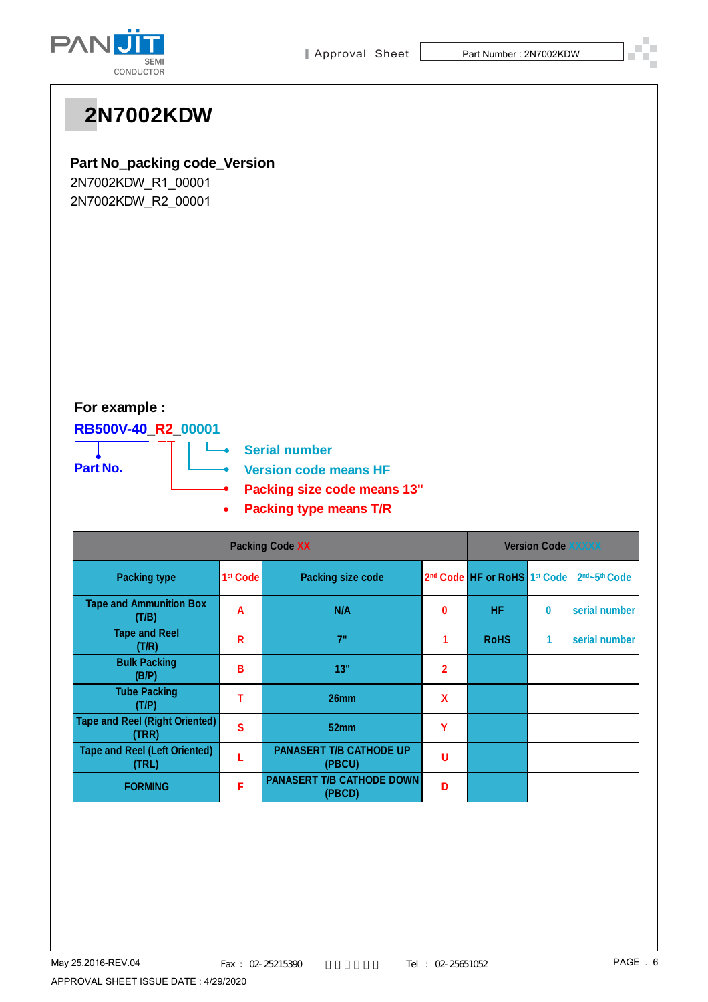

## **Part No\_packing code\_Version**

2N7002KDW\_R1\_00001 2N7002KDW\_R2\_00001

## **For example :**

## **RB500V-40\_R2\_00001**



| <b>Packing Code XX</b>                         |                      |                                            | <b>Version Code XXXXX</b> |                                                      |   |                                       |
|------------------------------------------------|----------------------|--------------------------------------------|---------------------------|------------------------------------------------------|---|---------------------------------------|
| <b>Packing type</b>                            | 1 <sup>st</sup> Code | Packing size code                          |                           | 2 <sup>nd</sup> Code HF or RoHS 1 <sup>st</sup> Code |   | 2 <sup>nd</sup> ~5 <sup>th</sup> Code |
| <b>Tape and Ammunition Box</b><br>(T/B)        | A                    | N/A                                        | $\bf{0}$                  | <b>HF</b>                                            | 0 | serial number                         |
| <b>Tape and Reel</b><br>(T/R)                  | R                    | 7"                                         |                           | <b>RoHS</b>                                          | 1 | serial number                         |
| <b>Bulk Packing</b><br>(B/P)                   | В                    | 13"                                        | $\mathbf{2}$              |                                                      |   |                                       |
| <b>Tube Packing</b><br>(T/P)                   |                      | 26mm                                       | X                         |                                                      |   |                                       |
| <b>Tape and Reel (Right Oriented)</b><br>(TRR) | S                    | 52 <sub>mm</sub>                           | γ                         |                                                      |   |                                       |
| <b>Tape and Reel (Left Oriented)</b><br>(TRL)  |                      | <b>PANASERT T/B CATHODE UP</b><br>(PBCU)   | U                         |                                                      |   |                                       |
| <b>FORMING</b>                                 | F                    | <b>PANASERT T/B CATHODE DOWN</b><br>(PBCD) | D                         |                                                      |   |                                       |